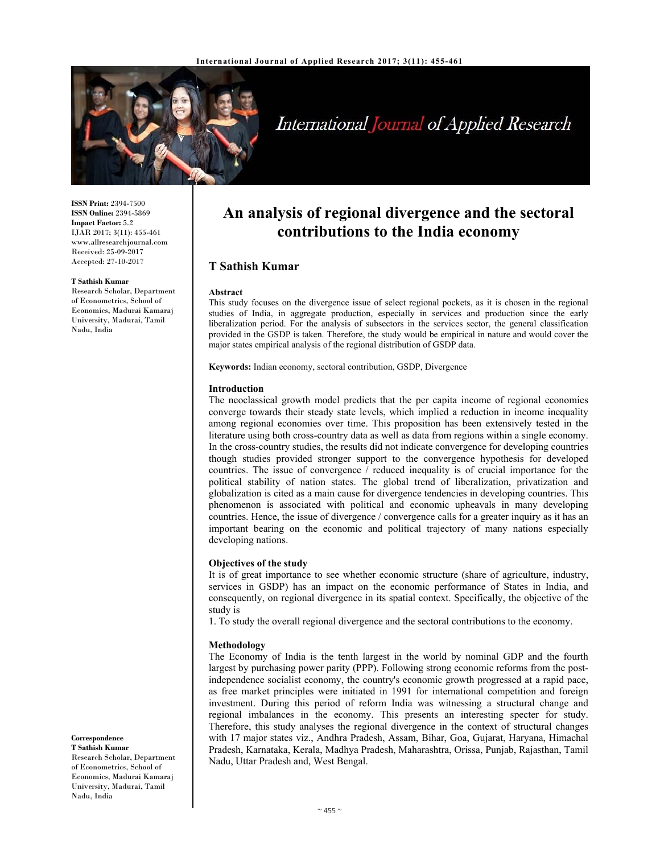

## International Journal of Applied Research

**ISSN Print:** 2394-7500 **ISSN Online:** 2394-5869 **Impact Factor:** 5.2 IJAR 2017; 3(11): 455-461 www.allresearchjournal.com Received: 25-09-2017 Accepted: 27-10-2017

#### **T Sathish Kumar**

Research Scholar, Department of Econometrics, School of Economics, Madurai Kamaraj University, Madurai, Tamil Nadu, India

# **contributions to the India economy T Sathish Kumar**

**An analysis of regional divergence and the sectoral** 

#### **Abstract**

This study focuses on the divergence issue of select regional pockets, as it is chosen in the regional studies of India, in aggregate production, especially in services and production since the early liberalization period. For the analysis of subsectors in the services sector, the general classification provided in the GSDP is taken. Therefore, the study would be empirical in nature and would cover the major states empirical analysis of the regional distribution of GSDP data.

**Keywords:** Indian economy, sectoral contribution, GSDP, Divergence

#### **Introduction**

The neoclassical growth model predicts that the per capita income of regional economies converge towards their steady state levels, which implied a reduction in income inequality among regional economies over time. This proposition has been extensively tested in the literature using both cross-country data as well as data from regions within a single economy. In the cross-country studies, the results did not indicate convergence for developing countries though studies provided stronger support to the convergence hypothesis for developed countries. The issue of convergence / reduced inequality is of crucial importance for the political stability of nation states. The global trend of liberalization, privatization and globalization is cited as a main cause for divergence tendencies in developing countries. This phenomenon is associated with political and economic upheavals in many developing countries. Hence, the issue of divergence / convergence calls for a greater inquiry as it has an important bearing on the economic and political trajectory of many nations especially developing nations.

#### **Objectives of the study**

It is of great importance to see whether economic structure (share of agriculture, industry, services in GSDP) has an impact on the economic performance of States in India, and consequently, on regional divergence in its spatial context. Specifically, the objective of the study is

1. To study the overall regional divergence and the sectoral contributions to the economy.

#### **Methodology**

The Economy of India is the tenth largest in the world by nominal GDP and the fourth largest by purchasing power parity (PPP). Following strong economic reforms from the postindependence socialist economy, the country's economic growth progressed at a rapid pace, as free market principles were initiated in 1991 for international competition and foreign investment. During this period of reform India was witnessing a structural change and regional imbalances in the economy. This presents an interesting specter for study. Therefore, this study analyses the regional divergence in the context of structural changes with 17 major states viz., Andhra Pradesh, Assam, Bihar, Goa, Gujarat, Haryana, Himachal Pradesh, Karnataka, Kerala, Madhya Pradesh, Maharashtra, Orissa, Punjab, Rajasthan, Tamil Nadu, Uttar Pradesh and, West Bengal.

**Correspondence T Sathish Kumar**  Research Scholar, Department of Econometrics, School of Economics, Madurai Kamaraj University, Madurai, Tamil

Nadu, India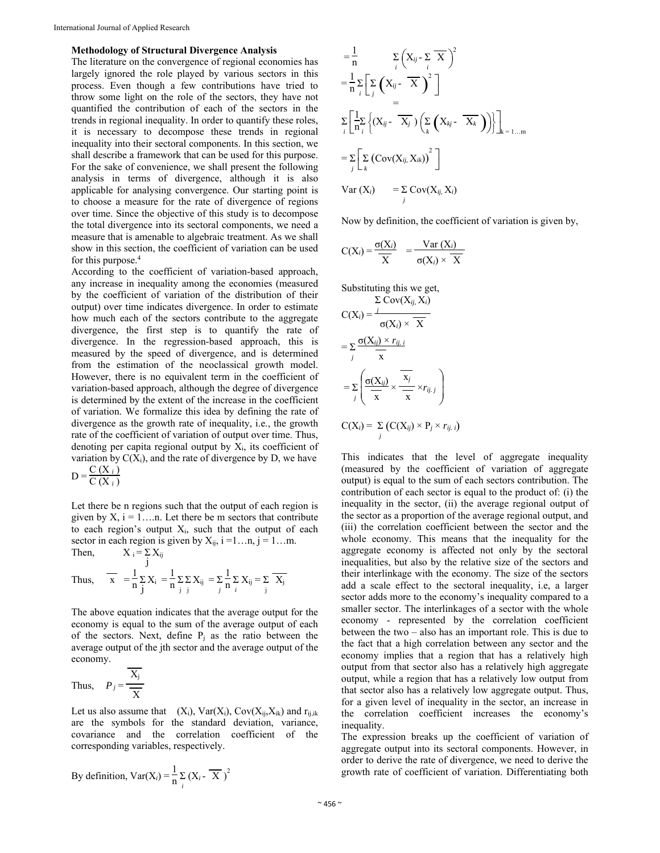#### **Methodology of Structural Divergence Analysis**

The literature on the convergence of regional economies has largely ignored the role played by various sectors in this process. Even though a few contributions have tried to throw some light on the role of the sectors, they have not quantified the contribution of each of the sectors in the trends in regional inequality. In order to quantify these roles, it is necessary to decompose these trends in regional inequality into their sectoral components. In this section, we shall describe a framework that can be used for this purpose. For the sake of convenience, we shall present the following analysis in terms of divergence, although it is also applicable for analysing convergence. Our starting point is to choose a measure for the rate of divergence of regions over time. Since the objective of this study is to decompose the total divergence into its sectoral components, we need a measure that is amenable to algebraic treatment. As we shall show in this section, the coefficient of variation can be used for this purpose.<sup>4</sup>

According to the coefficient of variation-based approach, any increase in inequality among the economies (measured by the coefficient of variation of the distribution of their output) over time indicates divergence. In order to estimate how much each of the sectors contribute to the aggregate divergence, the first step is to quantify the rate of divergence. In the regression-based approach, this is measured by the speed of divergence, and is determined from the estimation of the neoclassical growth model. However, there is no equivalent term in the coefficient of variation-based approach, although the degree of divergence is determined by the extent of the increase in the coefficient of variation. We formalize this idea by defining the rate of divergence as the growth rate of inequality, i.e., the growth rate of the coefficient of variation of output over time. Thus, denoting per capita regional output by  $X_i$ , its coefficient of variation by  $C(X_i)$ , and the rate of divergence by D, we have

$$
D = \frac{C(X_i)}{C(X_i)}
$$

Let there be n regions such that the output of each region is given by  $X$ ,  $i = 1...n$ . Let there be m sectors that contribute to each region's output  $X_i$ , such that the output of each sector in each region is given by  $X_{ij}$ ,  $i = 1...n$ ,  $j = 1...m$ . Then,  $X_i = \sum$  $X_{ij}$ 

Thus, 
$$
\overline{x} = \frac{1}{n} \sum_{j} X_i = \frac{1}{n} \sum_{j} \sum_{j} X_{ij} = \sum_{j} \frac{1}{n} \sum_{i} X_{ij} = \sum_{j} \overline{X_j}
$$

The above equation indicates that the average output for the economy is equal to the sum of the average output of each of the sectors. Next, define  $P_i$  as the ratio between the average output of the jth sector and the average output of the economy.

Thus, 
$$
P_j = \frac{\overline{X_j}}{\overline{X}}
$$

Let us also assume that  $(X_i)$ ,  $Var(X_i)$ ,  $Cov(X_{ij}, X_{ik})$  and  $r_{ij,ik}$ are the symbols for the standard deviation, variance, covariance and the correlation coefficient of the corresponding variables, respectively.

By definition, 
$$
Var(X_i) = \frac{1}{n} \sum_{i} (X_i - \overline{X})^2
$$

$$
\begin{aligned}\n&= \frac{1}{n} \sum_{i} \left( X_{ij} - \sum_{i} \overline{X} \right)^{2} \\
&= \frac{1}{n} \sum_{i} \left[ \sum_{j} \left( X_{ij} - \overline{X} \right)^{2} \right] \\
&= \\
&\sum_{i} \left[ \frac{1}{n} \sum_{i} \left\{ (X_{ij} - \overline{X}_{j}) \left( \sum_{k} \left( X_{kj} - \overline{X}_{k} \right) \right) \right\} \right]_{k=1...m} \\
&= \sum_{j} \left[ \sum_{k} \left( \text{Cov}(X_{ij}, X_{ik}) \right)^{2} \right] \\
&\text{Var}(X_{i}) = \sum_{j} \text{Cov}(X_{ij}, X_{i})\n\end{aligned}
$$

Now by definition, the coefficient of variation is given by,

$$
C(X_i) = \frac{\sigma(X_i)}{X} = \frac{\text{Var}(X_i)}{\sigma(X_i) \times X}
$$

Substituting this we get,  
\n
$$
\Sigma \text{Cov}(X_{ij}, X_i)
$$
\n
$$
C(X_i) = \frac{i}{\sigma(X_i) \times \overline{X}}
$$
\n
$$
= \sum_j \frac{\sigma(X_{ij}) \times r_{ij, i}}{\overline{x}}
$$
\n
$$
= \sum_j \left( \frac{\sigma(X_{ij})}{\overline{x}} \times \frac{\overline{x_j}}{\overline{x}} \times r_{ij, j} \right)
$$

$$
C(X_i) = \sum_j (C(X_{ij}) \times P_j \times r_{ij. i})
$$

This indicates that the level of aggregate inequality (measured by the coefficient of variation of aggregate output) is equal to the sum of each sectors contribution. The contribution of each sector is equal to the product of: (i) the inequality in the sector, (ii) the average regional output of the sector as a proportion of the average regional output, and (iii) the correlation coefficient between the sector and the whole economy. This means that the inequality for the aggregate economy is affected not only by the sectoral inequalities, but also by the relative size of the sectors and their interlinkage with the economy. The size of the sectors add a scale effect to the sectoral inequality, i.e, a larger sector adds more to the economy's inequality compared to a smaller sector. The interlinkages of a sector with the whole economy - represented by the correlation coefficient between the two – also has an important role. This is due to the fact that a high correlation between any sector and the economy implies that a region that has a relatively high output from that sector also has a relatively high aggregate output, while a region that has a relatively low output from that sector also has a relatively low aggregate output. Thus, for a given level of inequality in the sector, an increase in the correlation coefficient increases the economy's inequality.

The expression breaks up the coefficient of variation of aggregate output into its sectoral components. However, in order to derive the rate of divergence, we need to derive the growth rate of coefficient of variation. Differentiating both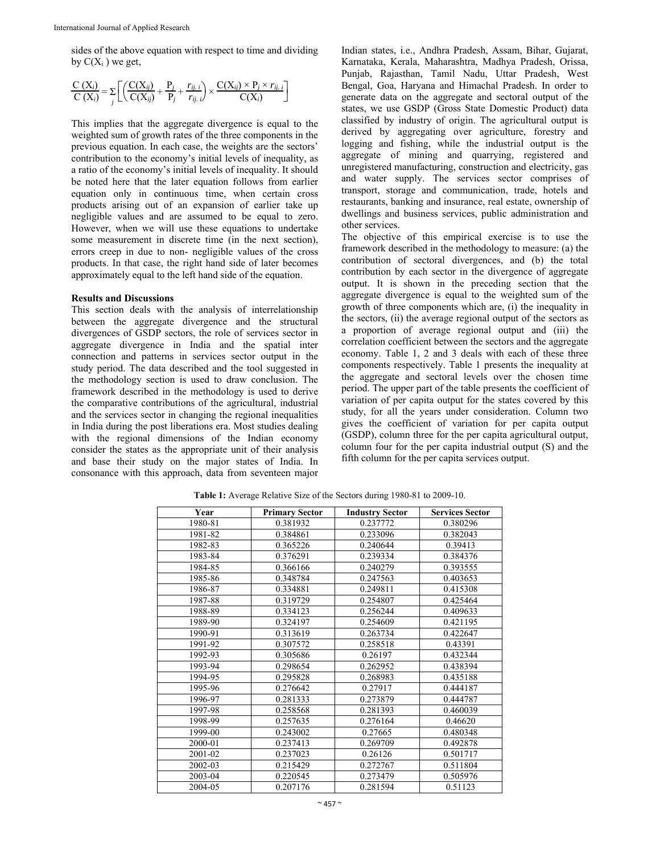sides of the above equation with respect to time and dividing by  $C(X_i)$  we get,

$$
\frac{C(X_i)}{C(X_i)} = \sum_j \left[ \left( \frac{C(X_{ij})}{C(X_{ij})} + \frac{P_j}{P_j} + \frac{r_{ij,i}}{r_{ij,i}} \right) \times \frac{C(X_{ij}) \times P_j \times r_{ij,i}}{C(X_i)} \right]
$$

This implies that the aggregate divergence is equal to the weighted sum of growth rates of the three components in the previous equation. In each case, the weights are the sectors' contribution to the economy's initial levels of inequality, as a ratio of the economy's initial levels of inequality. It should be noted here that the later equation follows from earlier equation only in continuous time, when certain cross products arising out of an expansion of earlier take up negligible values and are assumed to be equal to zero. However, when we will use these equations to undertake some measurement in discrete time (in the next section), errors creep in due to non- negligible values of the cross products. In that case, the right hand side of later becomes approximately equal to the left hand side of the equation.

#### **Results and Discussions**

This section deals with the analysis of interrelationship between the aggregate divergence and the structural divergences of GSDP sectors, the role of services sector in aggregate divergence in India and the spatial inter connection and patterns in services sector output in the study period. The data described and the tool suggested in the methodology section is used to draw conclusion. The framework described in the methodology is used to derive the comparative contributions of the agricultural, industrial and the services sector in changing the regional inequalities in India during the post liberations era. Most studies dealing with the regional dimensions of the Indian economy consider the states as the appropriate unit of their analysis and base their study on the major states of India. In consonance with this approach, data from seventeen major

Indian states, i.e., Andhra Pradesh, Assam, Bihar, Gujarat, Karnataka, Kerala, Maharashtra, Madhya Pradesh, Orissa, Punjab, Rajasthan, Tamil Nadu, Uttar Pradesh, West Bengal, Goa, Haryana and Himachal Pradesh. In order to generate data on the aggregate and sectoral output of the states, we use GSDP (Gross State Domestic Product) data classified by industry of origin. The agricultural output is derived by aggregating over agriculture, forestry and logging and fishing, while the industrial output is the aggregate of mining and quarrying, registered and unregistered manufacturing, construction and electricity, gas and water supply. The services sector comprises of transport, storage and communication, trade, hotels and restaurants, banking and insurance, real estate, ownership of dwellings and business services, public administration and other services.

The objective of this empirical exercise is to use the framework described in the methodology to measure: (a) the contribution of sectoral divergences, and (b) the total contribution by each sector in the divergence of aggregate output. It is shown in the preceding section that the aggregate divergence is equal to the weighted sum of the growth of three components which are, (i) the inequality in the sectors, (ii) the average regional output of the sectors as a proportion of average regional output and (iii) the correlation coefficient between the sectors and the aggregate economy. Table 1, 2 and 3 deals with each of these three components respectively. Table 1 presents the inequality at the aggregate and sectoral levels over the chosen time period. The upper part of the table presents the coefficient of variation of per capita output for the states covered by this study, for all the years under consideration. Column two gives the coefficient of variation for per capita output (GSDP), column three for the per capita agricultural output, column four for the per capita industrial output (S) and the fifth column for the per capita services output.

| Year    | <b>Primary Sector</b> | <b>Industry Sector</b> | <b>Services Sector</b> |
|---------|-----------------------|------------------------|------------------------|
| 1980-81 | 0.381932              | 0.237772               | 0.380296               |
| 1981-82 | 0.384861              | 0.233096               | 0.382043               |
| 1982-83 | 0.365226              | 0.240644               | 0.39413                |
| 1983-84 | 0.376291              | 0.239334               | 0.384376               |
| 1984-85 | 0.366166              | 0.240279               | 0.393555               |
| 1985-86 | 0.348784              | 0.247563               | 0.403653               |
| 1986-87 | 0.334881              | 0.249811               | 0.415308               |
| 1987-88 | 0.319729              | 0.254807               | 0.425464               |
| 1988-89 | 0.334123              | 0.256244               | 0.409633               |
| 1989-90 | 0.324197              | 0.254609               | 0.421195               |
| 1990-91 | 0.313619              | 0.263734               | 0.422647               |
| 1991-92 | 0.307572              | 0.258518               | 0.43391                |
| 1992-93 | 0.305686              | 0.26197                | 0.432344               |
| 1993-94 | 0.298654              | 0.262952               | 0.438394               |
| 1994-95 | 0.295828              | 0.268983               | 0.435188               |
| 1995-96 | 0.276642              | 0.27917                | 0.444187               |
| 1996-97 | 0.281333              | 0.273879               | 0.444787               |
| 1997-98 | 0.258568              | 0.281393               | 0.460039               |
| 1998-99 | 0.257635              | 0.276164               | 0.46620                |
| 1999-00 | 0.243002              | 0.27665                | 0.480348               |
| 2000-01 | 0.237413              | 0.269709               | 0.492878               |
| 2001-02 | 0.237023              | 0.26126                | 0.501717               |
| 2002-03 | 0.215429              | 0.272767               | 0.511804               |
| 2003-04 | 0.220545              | 0.273479               | 0.505976               |
| 2004-05 | 0.207176              | 0.281594               | 0.51123                |

**Table 1:** Average Relative Size of the Sectors during 1980-81 to 2009-10.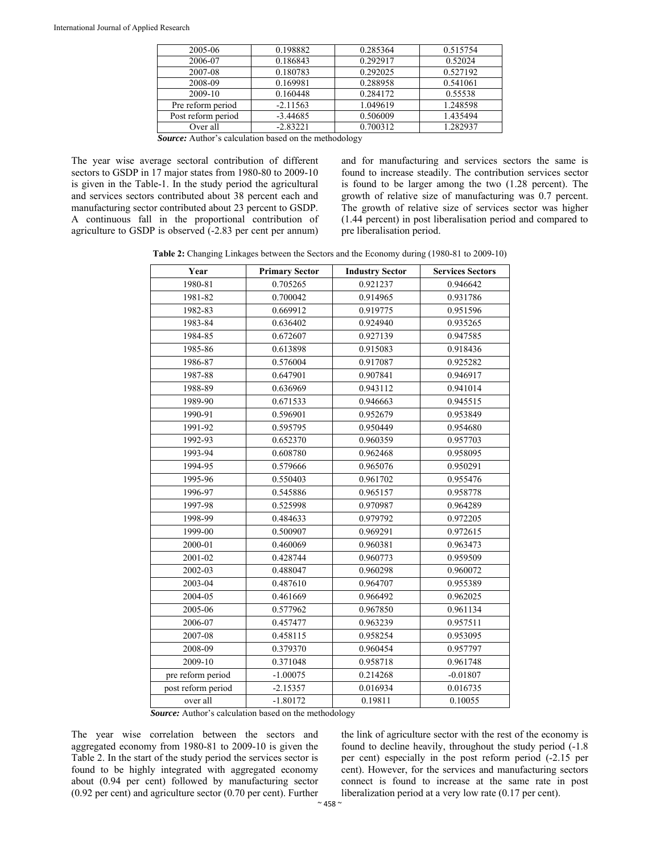| 2005-06            | 0.198882   | 0.285364 | 0.515754 |
|--------------------|------------|----------|----------|
| 2006-07            | 0.186843   | 0.292917 | 0.52024  |
| 2007-08            | 0.180783   | 0.292025 | 0.527192 |
| 2008-09            | 0.169981   | 0.288958 | 0.541061 |
| 2009-10            | 0.160448   | 0.284172 | 0.55538  |
| Pre reform period  | $-2.11563$ | 1.049619 | 1.248598 |
| Post reform period | $-3.44685$ | 0.506009 | 1.435494 |
| Over all           | $-2.83221$ | 0.700312 | 1.282937 |

*Source:* Author's calculation based on the methodology

The year wise average sectoral contribution of different sectors to GSDP in 17 major states from 1980-80 to 2009-10 is given in the Table-1. In the study period the agricultural and services sectors contributed about 38 percent each and manufacturing sector contributed about 23 percent to GSDP. A continuous fall in the proportional contribution of agriculture to GSDP is observed (-2.83 per cent per annum) and for manufacturing and services sectors the same is found to increase steadily. The contribution services sector is found to be larger among the two (1.28 percent). The growth of relative size of manufacturing was 0.7 percent. The growth of relative size of services sector was higher (1.44 percent) in post liberalisation period and compared to pre liberalisation period.

**Table 2:** Changing Linkages between the Sectors and the Economy during (1980-81 to 2009-10)

| Year               | <b>Primary Sector</b> | <b>Industry Sector</b> | <b>Services Sectors</b> |
|--------------------|-----------------------|------------------------|-------------------------|
| 1980-81            | 0.705265              | 0.921237               | 0.946642                |
| 1981-82            | 0.700042              | 0.914965               | 0.931786                |
| 1982-83            | 0.669912              | 0.919775               | 0.951596                |
| 1983-84            | 0.636402              | 0.924940               | 0.935265                |
| 1984-85            | 0.672607              | 0.927139               | 0.947585                |
| 1985-86            | 0.613898              | 0.915083               | 0.918436                |
| 1986-87            | 0.576004              | 0.917087               | 0.925282                |
| 1987-88            | 0.647901              | 0.907841               | 0.946917                |
| 1988-89            | 0.636969              | 0.943112               | 0.941014                |
| 1989-90            | 0.671533              | 0.946663               | 0.945515                |
| 1990-91            | 0.596901              | 0.952679               | 0.953849                |
| 1991-92            | 0.595795              | 0.950449               | 0.954680                |
| 1992-93            | 0.652370              | 0.960359               | 0.957703                |
| 1993-94            | 0.608780              | 0.962468               | 0.958095                |
| 1994-95            | 0.579666              | 0.965076               | 0.950291                |
| 1995-96            | 0.550403              | 0.961702               | 0.955476                |
| 1996-97            | 0.545886              | 0.965157               | 0.958778                |
| 1997-98            | 0.525998              | 0.970987               | 0.964289                |
| 1998-99            | 0.484633              | 0.979792               | 0.972205                |
| 1999-00            | 0.500907              | 0.969291               | 0.972615                |
| 2000-01            | 0.460069              | 0.960381               | 0.963473                |
| 2001-02            | 0.428744              | 0.960773               | 0.959509                |
| 2002-03            | 0.488047              | 0.960298               | 0.960072                |
| 2003-04            | 0.487610              | 0.964707               | 0.955389                |
| 2004-05            | 0.461669              | 0.966492               | 0.962025                |
| 2005-06            | 0.577962              | 0.967850               | 0.961134                |
| 2006-07            | 0.457477              | 0.963239               | 0.957511                |
| 2007-08            | 0.458115              | 0.958254               | 0.953095                |
| 2008-09            | 0.379370              | 0.960454               | 0.957797                |
| 2009-10            | 0.371048              | 0.958718               | 0.961748                |
| pre reform period  | $-1.00075$            | 0.214268               | $-0.01807$              |
| post reform period | $-2.15357$            | 0.016934               | 0.016735                |
| over all           | $-1.80172$            | 0.19811                | 0.10055                 |

*Source:* Author's calculation based on the methodology

The year wise correlation between the sectors and aggregated economy from 1980-81 to 2009-10 is given the Table 2. In the start of the study period the services sector is found to be highly integrated with aggregated economy about (0.94 per cent) followed by manufacturing sector (0.92 per cent) and agriculture sector (0.70 per cent). Further the link of agriculture sector with the rest of the economy is found to decline heavily, throughout the study period (-1.8 per cent) especially in the post reform period (-2.15 per cent). However, for the services and manufacturing sectors connect is found to increase at the same rate in post liberalization period at a very low rate (0.17 per cent).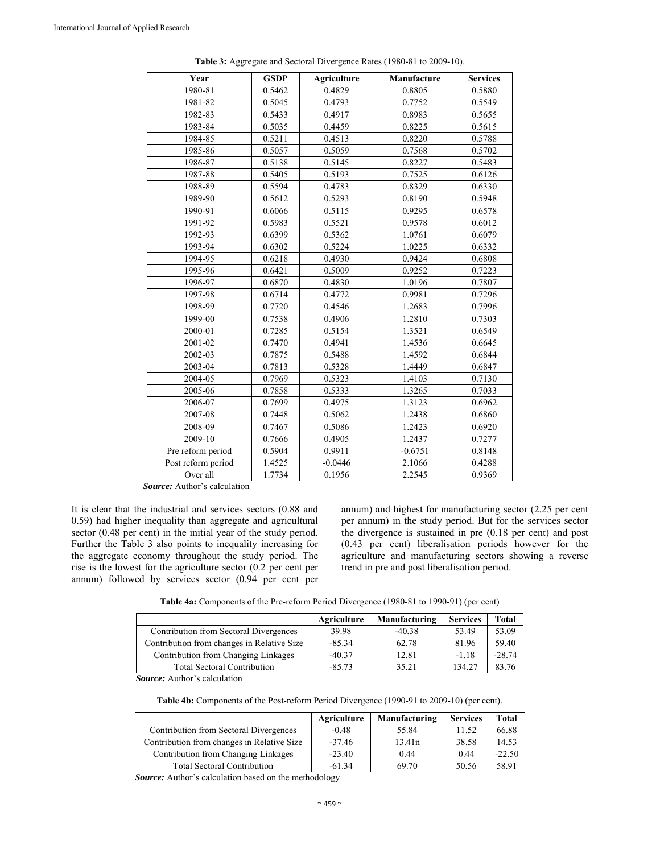| Year               | <b>GSDP</b> | <b>Agriculture</b> | Manufacture | <b>Services</b> |
|--------------------|-------------|--------------------|-------------|-----------------|
| 1980-81            | 0.5462      | 0.4829             | 0.8805      | 0.5880          |
| 1981-82            | 0.5045      | 0.4793             | 0.7752      | 0.5549          |
| 1982-83            | 0.5433      | 0.4917             | 0.8983      | 0.5655          |
| 1983-84            | 0.5035      | 0.4459             | 0.8225      | 0.5615          |
| 1984-85            | 0.5211      | 0.4513             | 0.8220      | 0.5788          |
| 1985-86            | 0.5057      | 0.5059             | 0.7568      | 0.5702          |
| 1986-87            | 0.5138      | 0.5145             | 0.8227      | 0.5483          |
| 1987-88            | 0.5405      | 0.5193             | 0.7525      | 0.6126          |
| 1988-89            | 0.5594      | 0.4783             | 0.8329      | 0.6330          |
| 1989-90            | 0.5612      | 0.5293             | 0.8190      | 0.5948          |
| 1990-91            | 0.6066      | 0.5115             | 0.9295      | 0.6578          |
| 1991-92            | 0.5983      | 0.5521             | 0.9578      | 0.6012          |
| 1992-93            | 0.6399      | 0.5362             | 1.0761      | 0.6079          |
| 1993-94            | 0.6302      | 0.5224             | 1.0225      | 0.6332          |
| 1994-95            | 0.6218      | 0.4930             | 0.9424      | 0.6808          |
| 1995-96            | 0.6421      | 0.5009             | 0.9252      | 0.7223          |
| 1996-97            | 0.6870      | 0.4830             | 1.0196      | 0.7807          |
| 1997-98            | 0.6714      | 0.4772             | 0.9981      | 0.7296          |
| 1998-99            | 0.7720      | 0.4546             | 1.2683      | 0.7996          |
| 1999-00            | 0.7538      | 0.4906             | 1.2810      | 0.7303          |
| 2000-01            | 0.7285      | 0.5154             | 1.3521      | 0.6549          |
| 2001-02            | 0.7470      | 0.4941             | 1.4536      | 0.6645          |
| 2002-03            | 0.7875      | 0.5488             | 1.4592      | 0.6844          |
| 2003-04            | 0.7813      | 0.5328             | 1.4449      | 0.6847          |
| 2004-05            | 0.7969      | 0.5323             | 1.4103      | 0.7130          |
| 2005-06            | 0.7858      | 0.5333             | 1.3265      | 0.7033          |
| 2006-07            | 0.7699      | 0.4975             | 1.3123      | 0.6962          |
| 2007-08            | 0.7448      | 0.5062             | 1.2438      | 0.6860          |
| 2008-09            | 0.7467      | 0.5086             | 1.2423      | 0.6920          |
| 2009-10            | 0.7666      | 0.4905             | 1.2437      | 0.7277          |
| Pre reform period  | 0.5904      | 0.9911             | $-0.6751$   | 0.8148          |
| Post reform period | 1.4525      | $-0.0446$          | 2.1066      | 0.4288          |
| Over all           | 1.7734      | 0.1956             | 2.2545      | 0.9369          |

**Table 3:** Aggregate and Sectoral Divergence Rates (1980-81 to 2009-10).

*Source:* Author's calculation

It is clear that the industrial and services sectors (0.88 and 0.59) had higher inequality than aggregate and agricultural sector (0.48 per cent) in the initial year of the study period. Further the Table 3 also points to inequality increasing for the aggregate economy throughout the study period. The rise is the lowest for the agriculture sector (0.2 per cent per annum) followed by services sector (0.94 per cent per annum) and highest for manufacturing sector (2.25 per cent per annum) in the study period. But for the services sector the divergence is sustained in pre (0.18 per cent) and post (0.43 per cent) liberalisation periods however for the agriculture and manufacturing sectors showing a reverse trend in pre and post liberalisation period.

**Table 4a:** Components of the Pre-reform Period Divergence (1980-81 to 1990-91) (per cent)

|                                            | Agriculture | Manufacturing | <b>Services</b> | <b>Total</b> |
|--------------------------------------------|-------------|---------------|-----------------|--------------|
| Contribution from Sectoral Divergences     | 39.98       | $-40.38$      | 53.49           | 53.09        |
| Contribution from changes in Relative Size | $-85.34$    | 62.78         | 81.96           | 59.40        |
| Contribution from Changing Linkages        | $-40.37$    | 12.81         | $-1.18$         | $-28.74$     |
| <b>Total Sectoral Contribution</b>         | $-85.73$    | 35.21         | 134.27          | 83.76        |

*Source:* Author's calculation

**Table 4b:** Components of the Post-reform Period Divergence (1990-91 to 2009-10) (per cent).

|                                            | Agriculture | Manufacturing | <b>Services</b> | Total    |
|--------------------------------------------|-------------|---------------|-----------------|----------|
| Contribution from Sectoral Divergences     | $-0.48$     | 55.84         | 11.52           | 66.88    |
| Contribution from changes in Relative Size | $-37.46$    | 13.41n        | 38.58           | 14.53    |
| Contribution from Changing Linkages        | $-23.40$    | 0.44          | 0.44            | $-22.50$ |
| <b>Total Sectoral Contribution</b>         | $-61.34$    | 69.70         | 50.56           | 58.91    |

*Source:* Author's calculation based on the methodology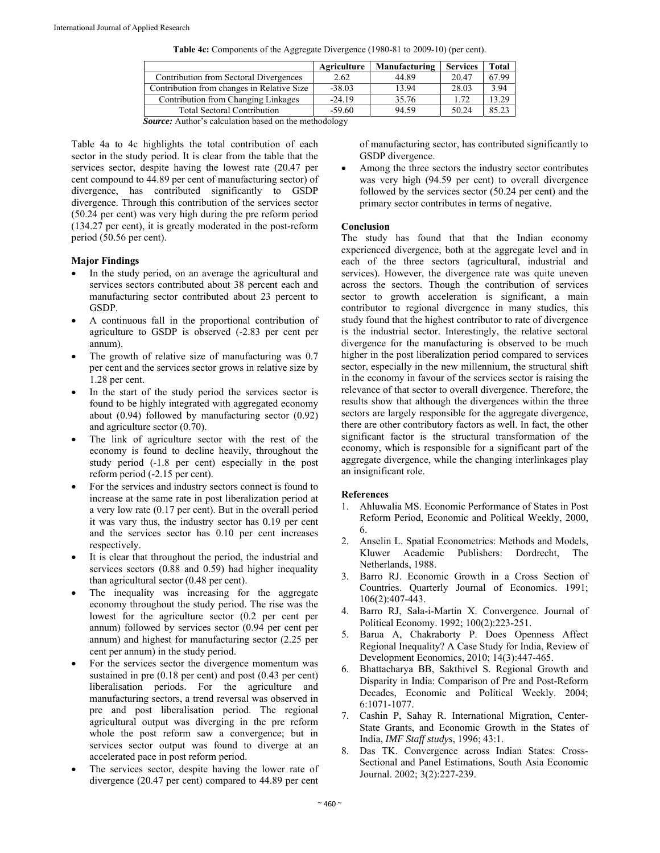|                                            | Agriculture | Manufacturing | <b>Services</b> | Total |
|--------------------------------------------|-------------|---------------|-----------------|-------|
| Contribution from Sectoral Divergences     | 2.62        | 44.89         | 20.47           | 67.99 |
| Contribution from changes in Relative Size | $-38.03$    | 13.94         | 28.03           | 3.94  |
| Contribution from Changing Linkages        | $-24.19$    | 35.76         | 172             | 13.29 |
| <b>Total Sectoral Contribution</b>         | $-59.60$    | 94.59         | 50.24           | 85.23 |
|                                            |             |               |                 |       |

|  | <b>Table 4c:</b> Components of the Aggregate Divergence (1980-81 to 2009-10) (per cent). |  |  |
|--|------------------------------------------------------------------------------------------|--|--|
|  |                                                                                          |  |  |

*Source:* Author's calculation based on the methodology

Table 4a to 4c highlights the total contribution of each sector in the study period. It is clear from the table that the services sector, despite having the lowest rate (20.47 per cent compound to 44.89 per cent of manufacturing sector) of divergence, has contributed significantly to GSDP divergence. Through this contribution of the services sector (50.24 per cent) was very high during the pre reform period (134.27 per cent), it is greatly moderated in the post-reform period (50.56 per cent).

#### **Major Findings**

- In the study period, on an average the agricultural and services sectors contributed about 38 percent each and manufacturing sector contributed about 23 percent to GSDP.
- A continuous fall in the proportional contribution of agriculture to GSDP is observed (-2.83 per cent per annum).
- The growth of relative size of manufacturing was 0.7 per cent and the services sector grows in relative size by 1.28 per cent.
- In the start of the study period the services sector is found to be highly integrated with aggregated economy about (0.94) followed by manufacturing sector (0.92) and agriculture sector (0.70).
- The link of agriculture sector with the rest of the economy is found to decline heavily, throughout the study period (-1.8 per cent) especially in the post reform period (-2.15 per cent).
- For the services and industry sectors connect is found to increase at the same rate in post liberalization period at a very low rate (0.17 per cent). But in the overall period it was vary thus, the industry sector has 0.19 per cent and the services sector has 0.10 per cent increases respectively.
- It is clear that throughout the period, the industrial and services sectors (0.88 and 0.59) had higher inequality than agricultural sector (0.48 per cent).
- The inequality was increasing for the aggregate economy throughout the study period. The rise was the lowest for the agriculture sector (0.2 per cent per annum) followed by services sector (0.94 per cent per annum) and highest for manufacturing sector (2.25 per cent per annum) in the study period.
- For the services sector the divergence momentum was sustained in pre (0.18 per cent) and post (0.43 per cent) liberalisation periods. For the agriculture and manufacturing sectors, a trend reversal was observed in pre and post liberalisation period. The regional agricultural output was diverging in the pre reform whole the post reform saw a convergence; but in services sector output was found to diverge at an accelerated pace in post reform period.
- The services sector, despite having the lower rate of divergence (20.47 per cent) compared to 44.89 per cent

of manufacturing sector, has contributed significantly to GSDP divergence.

 Among the three sectors the industry sector contributes was very high (94.59 per cent) to overall divergence followed by the services sector (50.24 per cent) and the primary sector contributes in terms of negative.

#### **Conclusion**

The study has found that that the Indian economy experienced divergence, both at the aggregate level and in each of the three sectors (agricultural, industrial and services). However, the divergence rate was quite uneven across the sectors. Though the contribution of services sector to growth acceleration is significant, a main contributor to regional divergence in many studies, this study found that the highest contributor to rate of divergence is the industrial sector. Interestingly, the relative sectoral divergence for the manufacturing is observed to be much higher in the post liberalization period compared to services sector, especially in the new millennium, the structural shift in the economy in favour of the services sector is raising the relevance of that sector to overall divergence. Therefore, the results show that although the divergences within the three sectors are largely responsible for the aggregate divergence, there are other contributory factors as well. In fact, the other significant factor is the structural transformation of the economy, which is responsible for a significant part of the aggregate divergence, while the changing interlinkages play an insignificant role.

### **References**

- 1. Ahluwalia MS. Economic Performance of States in Post Reform Period, Economic and Political Weekly, 2000, 6.
- 2. Anselin L. Spatial Econometrics: Methods and Models, Kluwer Academic Publishers: Dordrecht, The Netherlands, 1988.
- 3. Barro RJ. Economic Growth in a Cross Section of Countries. Quarterly Journal of Economics. 1991; 106(2):407-443.
- 4. Barro RJ, Sala-i-Martin X. Convergence. Journal of Political Economy. 1992; 100(2):223-251.
- 5. Barua A, Chakraborty P. Does Openness Affect Regional Inequality? A Case Study for India, Review of Development Economics, 2010; 14(3):447-465.
- 6. Bhattacharya BB, Sakthivel S. Regional Growth and Disparity in India: Comparison of Pre and Post-Reform Decades, Economic and Political Weekly. 2004; 6:1071-1077.
- 7. Cashin P, Sahay R. International Migration, Center-State Grants, and Economic Growth in the States of India, *IMF Staff studys*, 1996; 43:1.
- 8. Das TK. Convergence across Indian States: Cross-Sectional and Panel Estimations, South Asia Economic Journal. 2002; 3(2):227-239.